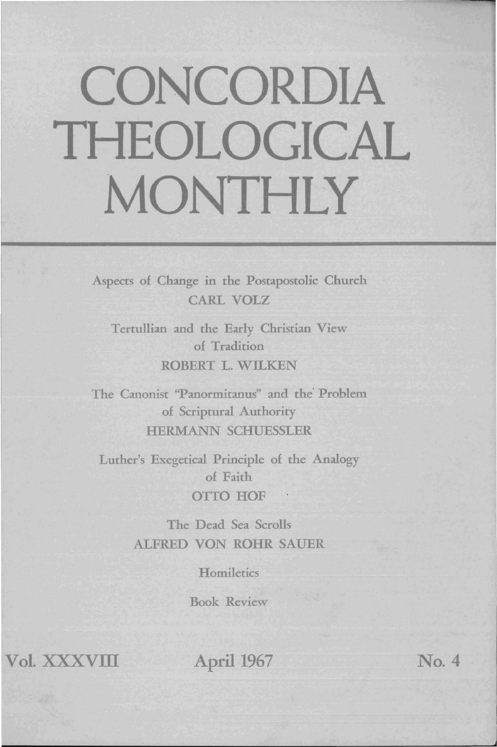# **CONCORDIA THEOLOGICAL MONTHLY**

Aspects of Change in the Postapostolic Church CARL VOLZ

Tertullian and the Early Christian View of Tradition ROBERT L. WILKEN

The Canonist ''Panormitanus'' and the Problem of Scriptural Authority HERMANN SCHUESSLER

Luther's Exegetical Principle of the Analogy of Faith **OTTO HOF** 

> The Dead Sea Scrolls ALFRED VON ROHR SAUER

> > **Homiletics**

Book Review

 $Vol.$ **XXXVIII** 

April 1967

**No. 4** 

- ',;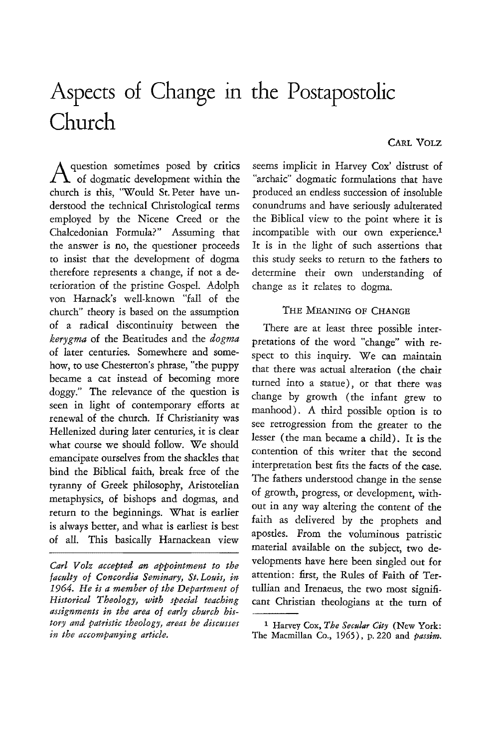# Aspects of Change in the Postapostolic **Church**

Aquestion sometimes posed by critics of dogmatic development within the church is this, "Would St. Peter have understood the technical Christological terms employed by the Nicene Creed or the Chalcedonian Formula?" Assuming that the answer is no, the questioner proceeds to insist that the development of dogma therefore represents a change, if not a deterioration of the pristine Gospel. Adolph von Harnack's well-known "fall of the church" theory is based on the assumption of a radical discontinuity between the *kerygma* of the Beatitudes and the *dogma*  of later centuries. Somewhere and somehow, to use Chesterton's phrase, "the puppy became a cat instead of becoming more doggy." The relevance of the question is seen in light of contemporary efforts at renewal of the church. If Christianity was Hellenized during later centuries, it is clear what course we should follow. We should emancipate ourselves from the shackles that bind the Biblical faith, break free of the tyranny of Greek philosophy, Aristotelian metaphysics, of bishops and dogmas, and return to the beginnings. What is earlier is always better, and what is earliest is best of all. This basically Harnackean view

seems implicit in Harvey Cox' distrust of "archaic" dogmatic formulations that have produced an endless succession of insoluble conundrums and have seriously adulterated the Biblical view to the point where it is incompatible with our own experience.<sup>1</sup> It is in the light of such assertions that this study seeks to return to the fathers to determine their own understanding of change as it relates to dogma.

## THE MEANING OF CHANGE

There are at least three possible interpretations of the word "change" with respect to this inquiry. We can maintain that there was actual alteration (the chair turned into a statue), or that there was change by growth (the infant grew to manhood). A third possible option is to see retrogression from the greater to the lesser (the man became a child). It is the contention of this writer that the second interpretation best fits the facts of the case. The fathers understood change in the sense of growth, progress, or development, without in any way altering the content of the faith as delivered by the prophets and apostles. From the voluminous patristic material available on the subject, two developments have here been singled out for attention: first, the Rules of Faith of Tertullian and Irenaeus, the two most significant Christian theologians at the turn of

## CARL VOLZ

*Carl V olz accepted an appointment to the faculty of Concordia Seminary, St. Louis, in 1964. He is a member of the Department of Historical Theology, with special teaching assignments in the area of early church history and patristic theology, areas he discusses in the accompanying article.* 

<sup>&</sup>lt;sup>1</sup> Harvey Cox, *The Secular City* (New York: The Macmillan Co., 1965), p. 220 and *passim.*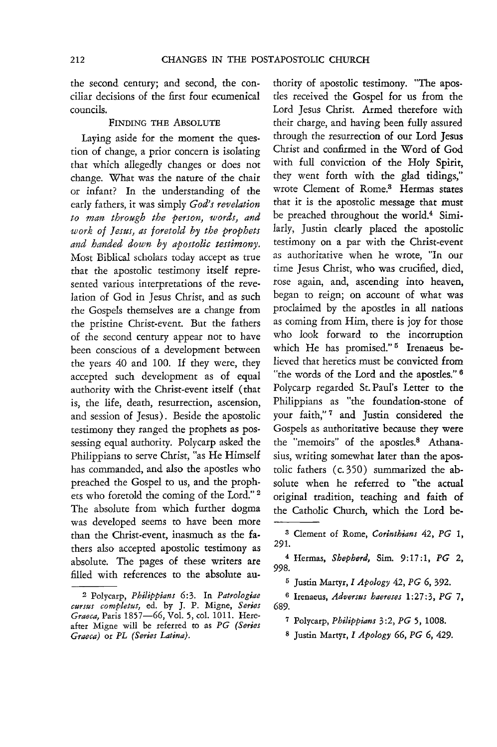the second century; and second, the conciliar decisions of the first four ecumenical councils.

#### FINDING THE ABSOLUTE

Laying aside for the moment the question of change, a prior concern is isolating that which allegedly changes or does not change. What was the nature of the chair or infant? In the understanding of the early fathers, it was simply *God's revelation to man through the person, words, and work of Jestls, as foretold by the prophets and handed down by apostolic testimony.*  Most Biblical scholars today accept as true that the apostolic testimony itself represented various interpretations of the revelation of God in Jesus Christ, and as such the Gospels themselves are a change from the pristine Christ-event. But the fathers of the second century appear not to have been conscious of a development between the years 40 and 100. If they were, they accepted such development as of equal authority with the Christ-event itself (that is, the life, death, resurrection, ascension, and session of Jesus). Beside the apostolic testimony they ranged the prophets as possessing equal authority. Polycarp asked the Philippians to serve Christ, "as He Himself has commanded, and also the apostles who preached the Gospel to us, and the prophets who foretold the coming of the Lord." 2 The absolute from which further dogma was developed seems to have been more than the Christ-event, inasmuch as the fathers also accepted apostolic testimony as absolute. The pages of these writers are filled with references to the absolute authority of apostolic testimony. "The apostles received the Gospel for us from the Lord Jesus Christ. Armed therefore with their charge, and having been fully assured through the resurrection of our Lord Jesus Christ and confirmed in the Word of God with full conviction of the Holy Spirit, they went forth with the glad tidings," wrote Clement of Rome.<sup>3</sup> Hermas states that it is the apostolic message that must be preached throughout the world.<sup>4</sup> Similarly, Justin clearly placed the apostolic testimony on a par with the Christ-event as authoritative when he wrote, "In our time Jesus Christ, who was crucified, died, rose again, and, ascending into heaven, began to reign; on account of what was proclaimed by the apostles in all nations as coming from Him, there is joy for those who look forward to the incorruption which He has promised."<sup>5</sup> Irenaeus believed that heretics must be convicted from "the words of the Lord and the apostles." 6 Polycarp regarded St. Paul's Letter to the Philippians as "the foundation-stone of your faith,"<sup>7</sup> and Justin considered the Gospels as authoritative because they were the "memoirs" of the apostles.<sup>8</sup> Athanasius, writing somewhat later than the apostolic fathers (c. 350) summarized the absolute when he referred to "the actual original tradition, teaching and faith of the Catholic Church, which the Lord be-

<sup>2</sup> Polycarp, *Philippians* 6:3. In *Patrologiae cursus completus,* ed. by J. P. Migne, *Series Graeca,* Paris 1857-66, Vol. 5, col. 1011. Hereafter Migne will be referred to as *PG (Series Graeca)* or *PL (Series Latina).* 

<sup>3</sup> Clement of Rome, *Corinthians* 42, *PG 1,*  291.

<sup>4</sup> Hermas, *Shepherd,* Sim. 9:17:1, PG 2, 998.

<sup>5</sup> Justin Martyr, I *Apology* 42, *PG* 6, 392.

<sup>6</sup> Irenaeus, *Adversus haereses* 1 :27: 3, *PG* 7, 689.

<sup>7</sup> Polycarp, *Philippians* 3:2, *PG* 5, 1008.

<sup>8</sup> Justin Martyr, *I Apology* 66, *PG* 6, 429.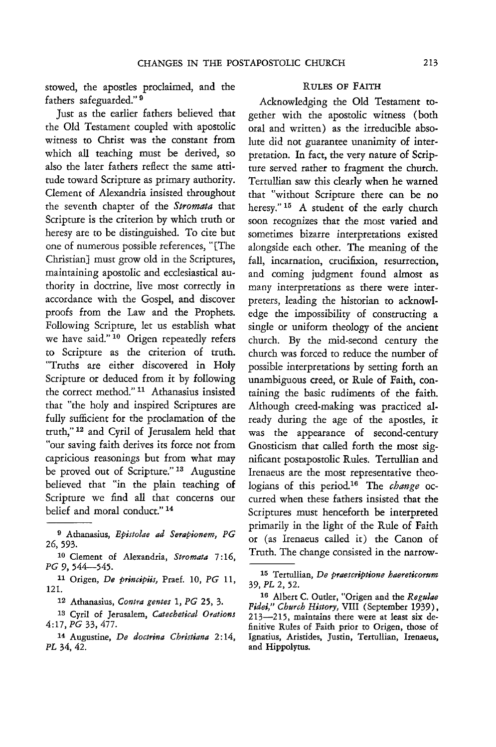stowed, the apostles proclaimed, and the fathers safeguarded." 9

Just as the earlier fathers believed that the Old Testament coupled with apostolic witness to Christ was the constant from which all teaching must be derived, so also the later fathers reflect the same attitude toward Scripture as primary authority. Clement of Alexandria insisted throughout the seventh chapter of the *Stromata* that Scripture is the criterion by which truth or heresy are to be distinguished. To cite but one of numerous possible references, "[The Christian] must grow old in the Scriptures, maintaining apostolic and ecclesiastical authority in doctrine, live most correctly in accordance with the Gospel, and discover proofs from the Law and the Prophets. Following Scripture, let us establish what we have said." 10 Origen repeatedly refers to Scripture as the criterion of truth. "Truths are either discovered in Holy Scripture or deduced from it by following the correct method." 11 Athanasius insisted that "the holy and inspired Scriptures are fully sufficient for the proclamation of the truth," 12 and Cyril of Jerusalem held that "our saving faith derives its force not from capricious reasonings but from what may be proved out of Scripture." 13 Augustine believed that "in the plain teaching of Scripture we find all that concerns our belief and moral conduct." 14

#### RULES OF FAITH

Acknowledging the Old Testament together with the apostolic witness (both oral and written) as the irreducible absolute did not guarantee unanimity of interpretation. In fact, the very nature of Scripture served rather to fragment the church. Tertullian saw this clearly when he warned that "without Scripture there can be no heresy."<sup>15</sup> A student of the early church soon recognizes that the most varied and sometimes bizarre interpretations existed alongside each other. The meaning of the fall, incarnation, crucifixion, resurrection, and coming judgment found almost as many interpretations as there were interpreters, leading the historian to acknowledge the impossibility of constructing a single or uniform theology of the ancient church. By the mid-second century the church was forced to reduce the number of possible interpretations by setting forth an unambiguous creed, or Rule of Faith, containing the basic rudiments of the faith. Although creed-making was practiced already during the age of the apostles, it was the appearance of second-century Gnosticism that called forth the most significant postapostolic Rules. Tertullian and Irenaeus are the most representative theologians of this period.16 The *change* occurred when these fathers insisted that the Scriptures must henceforth be interpreted primarily in the light of the Rule of Faith or (as Irenaeus called it) the Canon of Truth. The change consisted in the narrow-

I} Athanasius, *Epistolae* ad *Serapionem, PG*  26,593.

<sup>10</sup> Clement of Alexandria, *Stromata* 7: 16, *PG* 9, 544-545.

<sup>11</sup> Origen, *De principiis,* Praef. 10, *PG 11,*  121.

<sup>12</sup> Athanasius, *Contra gentes* 1, *PG* 25, 3.

<sup>13</sup> Cyril of Jerusalem, *Catechetical Orations 4:17, PG* 33, 477-

<sup>14</sup> Augustine, *De doctrina Christiana* 2: 14, PL 34, 42.

<sup>15</sup> Tertullian, *De praescriptione haereticorum*  39, PL 2,52.

<sup>16</sup> Albert C. Outler, "Origen and the *Regulae Fidei," Church History,* VIII (September 1939), 213-215, maintains there were at least six definitive Rules of Faith prior to Origen, those of Ignatius, Aristides, Justin, Tertullian, Irenaeus, and Hippolytus.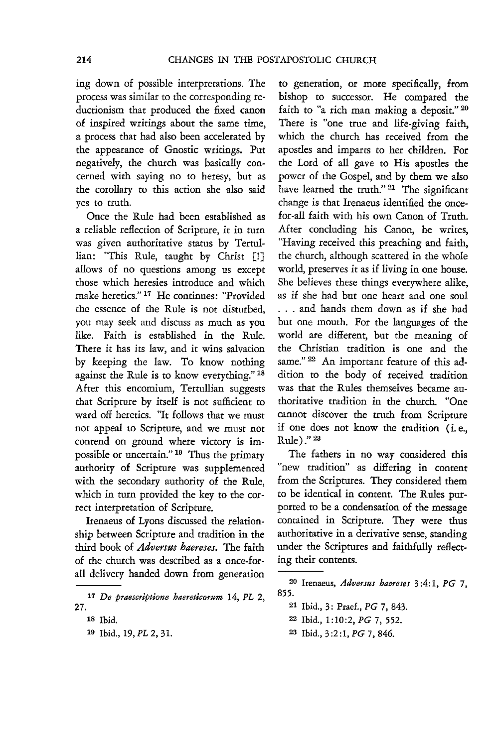ing down of possible interpretations. The process was similar to the corresponding reductionism that produced the fixed canon of inspired writings about the same time, a process that had also been accelerated by the appearance of Gnostic writings. Put negatively, the church was basically concerned with saying no to heresy, but as the corollary to this action she also said yes to truth.

Once the Rule had been established as a reliable reflection of Scripture, it in turn was given authoritative status by Tertullian: "This Rule, taught by Christ [!] allows of no questions among us except those which heresies introduce and which make heretics." 17 He continues: "Provided the essence of the Rule is not disturbed, you may seek and discuss as much as you like. Faith is established in the Rule. There it has its law, and it wins salvation by keeping the law. To know nothing against the Rule is to know everything." 18 After this encomium, Tertullian suggests that Scripture by itself is not sufficient to ward off heretics. "It follows that we must not appeal to Scripture, and we must not contend on ground where victory is impossible or uncertain." 19 Thus the primary authority of Scripture was supplemented with the secondary authority of the Rule, which in turn provided the key to the correct interpretation of Scripture.

Irenaeus of Lyons discussed the relationship between Scripture and tradition in the third book of *Adversus haereses.* The faith of the church was described as a once-forall delivery handed down from generation

to generation, or more specifically, from bishop to successor. He compared the faith to "a rich man making a deposit." 20 There is "one true and life-giving faith, which the church has received from the apostles and imparts to her children. For the Lord of all gave to His apostles the power of the Gospel, and by them we also have learned the truth." <sup>21</sup> The significant change is that Irenaeus identified the oncefor-all faith with his own Canon of Truth. After concluding his Canon, he writes, "Having received this preaching and faith, the church, although scattered in the whole world, preserves it as if living in one house. She believes these things everywhere alike, as if she had but one heart and one soul . . . and hands them down as if she had but one mouth. For the languages of the world are different, but the meaning of the Christian tradition is one and the same." <sup>22</sup> An important feature of this addition to the body of received tradition was that the Rules themselves became authoritative tradition in the church. "One cannot discover the truth from Scripture if one does not know the tradition (i.e., Rule)." 23

The fathers in no way considered this "new tradition" as differing in content from the Scriptures. They considered them to be identical in content. The Rules purported to be a condensation of the message contained in Scripture. They were thus authoritative in a derivative sense, standing under the Scriptures and faithfully reflecting their contents.

<sup>17</sup> De praescriptione haereticorum 14, PL 2, 27.

<sup>18</sup> Ibid.

<sup>19</sup> Ibid., 19, PL 2,31.

<sup>20</sup> lrenaeus, *Adversus haereses* 3:4:1, *PG 7,*  855.

<sup>21</sup> Ibid., 3: Praef., *PG* 7, 843.

<sup>22</sup>Ibid., 1:10:2, *PG* 7, 552.

<sup>23</sup> Ibid., 3:2 :1, *PG* 7, 846.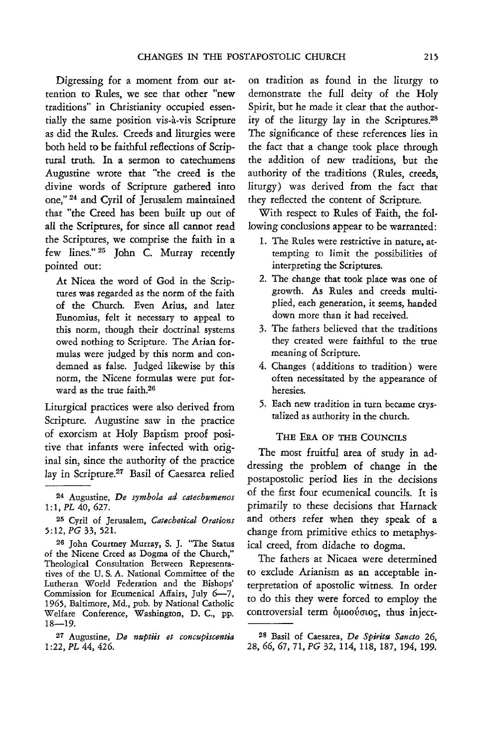Digressing for a moment from our attention to Rules, we see that other "new traditions" in Christianity occupied essentially the same position vis-a-vis Scripture as did the Rilles. Creeds and liturgies were both held to be faithfill reflections of Scriptural truth. In a sermon to catechumens Augustine wrote that "the creed is the divine words of Scripture gathered into one," 24 and Cyril of Jerusalem maintained that "the Creed has been built up out of all the Scriptures, for since all cannot read the Scriptures, we comprise the faith in a few lines." <sup>25</sup> John C. Murray recently pointed out:

At Nicea the word of God in the Scriptures was regarded as the norm of the faith of the Church. Even Arius, and later Eunomius, felt it necessary to appeal to this norm, though their doctrinal systems owed nothing to Scripture. The Arian formulas were judged by this norm and condemned as false. Judged likewise by this norm, the Nicene formulas were put forward as the true faith.26

Liturgical practices were also derived from Scripture. Augustine saw in the practice of exorcism at Holy Baptism proof positive that infants were infected with original sin, since the authority of the practice lay in Scripture.27 Basil of Caesarea relied

26 John Courtney Murray, S. J. "The Status of the Nicene Creed as Dogma of the Church," Theological Consultation Between Representatives of the U. S. A. National Committee of the Lutheran World Federation and the Bishops' Commission for Ecumenical Affairs, July 6-7, 1965, Baltimore, Md., pub. by National Catholic Welfare Conference, Washington, D. c., pp.  $18 - 19.$ 

on tradition as found in the liturgy to demonstrate the full deity of the Holy Spirit, but he made it clear that the authority of the liturgy lay in the Scriptures.28 The significance of these references lies in the fact that a change took place through the addition of new traditions, but the authority of the traditions (Rilles, creeds, liturgy) was derived from the fact that they reflected the content of Scripture.

With respect to Rules of Faith, the following conclusions appear to be warranted:

- 1. The Rules were restrictive in nature, attempting to limit the possibilities of interpreting the Scriptures.
- 2. The change that took place was one of growth. As Rules and creeds multiplied, each generation, it seems, handed down more than it had received.
- 3. The fathers believed that the traditions they created were faithful to the true meaning of Scripture.
- 4. Changes (additions to tradition) were often necessitated by the appearance of heresies.
- 5. Each new tradition in turn became crystalized as authority in the church.

# THE ERA OF THE COUNCILS

The most fruitful area of study in addressing the problem of change in the postapostolic period lies in the decisions of the first four ecumenical councils. It is primarily to these decisions that Harnack and others refer when they speak of a change from primitive ethics to metaphysical creed, from didache to dogma.

The fathers at Nicaea were determined to exclude Arianism as an acceptable interpretation of apostolic witness. In order to do this they were forced to employ the controversial term  $\delta \mu$ 00 $\acute{v}$ σιος, thus inject-

<sup>24</sup> Augustine, *De symbola ad catechumenos 1:1, PL* 40, 627.

<sup>25</sup> Cyril of Jerusalem, *Catechetical Orations 5:12, PG* 33, 52l.

<sup>27</sup>Augustine, *De nuptus et concupiscentia*  1 :22, *PL* 44, 426.

<sup>28</sup> Basil of Caesarea, *De Sphitu Sancto 26,*  28,66,67. 71, *PG* 32, 114, 118. 187, 194, 199.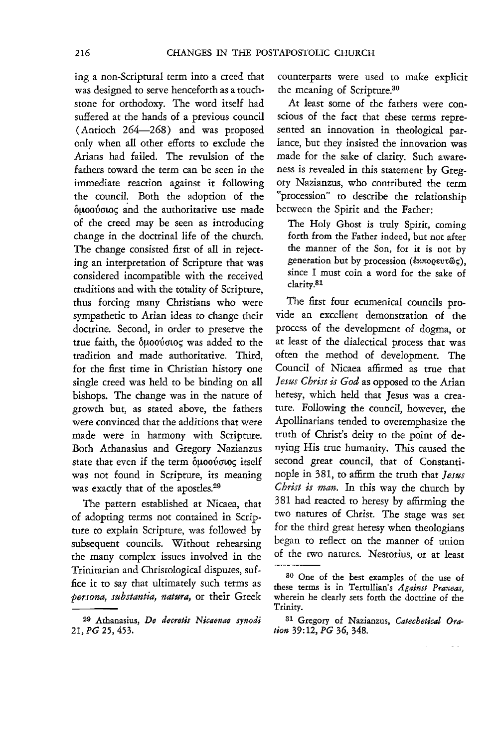ing a non-Scriptural term into a creed that was designed to serve henceforth as a touchstone for orthodoxy. The word itself had suffered at the hands of a previous council (Antioch 264-268) and was proposed only when all other efforts to exclude the Arians had failed. The revulsion of the fathers toward the term can be seen in the immediate reaction against it following the council. Both the adoption of the  $\delta \mu$ 0000000 $\zeta$  and the authoritative use made of the creed may be seen as introducing change in the doctrinal life of the church. The change consisted first of all in rejecting an interpretation of Scripture that was considered incompatible with the received traditions and with the totality of Scripture, thus forcing many Christians who were sympathetic to Arian ideas to change their doctrine. Second, in order to preserve the true faith, the  $\delta\mu$ 0000005 was added to the tradition and made authoritative. Third, for the first time in Christian history one single creed was held to be binding on all bishops. The change was in the nature of growth but, as stated above, the fathers were convinced that the additions that were made were in harmony with Scripture. Both Athanasius and Gregory Nazianzus state that even if the term  $\delta\mu$ 000000c itself was not found in Scripture, its meaning was exactly that of the apostles.29

The pattern established at Nicaea, that of adopting terms not contained in Scripture to explain Scripture, was followed by subsequent councils. Without rehearsing the many complex issues involved in the Trinitarian and Christological disputes, suffice it to say that ultimately such terms as *persona, substantia, natura,* or their Greek

counterparts were used to make explicit the meaning of Scripture.30

At least some of the fathers were conscious of the fact that these terms represented an innovation in theological parlance, but they insisted the innovation was made for the sake of clarity. Such awareness is revealed in this statement by Gregory Nazianzus, who contributed the term "procession" to describe the relationship between the Spirit and the Father:

The Holy Ghost is truly Spirit, coming forth from the Father indeed, but not after the manner of the Son, for it *is* not by generation but by procession (εππορευτώς), since I must coin a word for the sake of clarity.<sup>31</sup>

The first four ecumenical councils provide an excellent demonstration of the process of the development of dogma, or at least of the dialecrical process that was often the method of development. The Council of Nicaea aflirmed as true that *Jesus Christ is God* as opposed to the Arian heresy, which held that Jesus was a creature. Following the council, however, the Apollinarians tended to overemphasize the truth of Christ's deity to the point of denying *His* true humanity. This caused the second great council, that of Constantinople in 381, to affirm the truth that *Jesus Christ is man.* In this way the church by 381 had reacred to heresy by aflirming the two natures of Christ. The stage was set for the third great heresy when theologians began to reflect on the manner of union of the two natures. Nestorius, or at least

L.

<sup>29</sup> Athanasius, *De decretis Nicaenae synod;*  21, PG 25, 453.

<sup>30</sup> One of the best examples of the use of these terms is in Tertullian's *Against Praxeas,*  wherein he clearly sets forth the doctrine of the Trinity.

<sup>31</sup> Gregory of Nazianzus, *Catechetical Oration* 39: 12, *PG* 36, 348.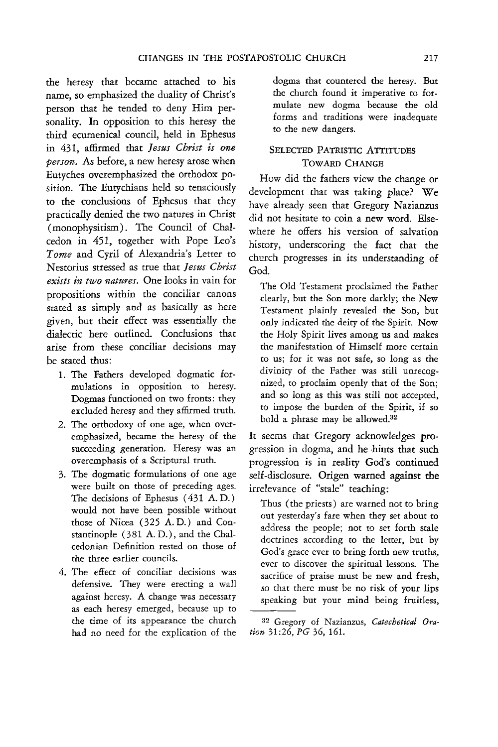the heresy that became attached to his name, so emphasized the duality of Christ's person that he tended to deny Him personality. In opposition to this heresy the third ecumenical council, held in Ephesus in 431, affirmed that *Jesus Christ is one person.* As before, a new heresy arose when Eutyches overemphasized the orthodox position. The Eutychians held so tenaciously to the conclusions of Ephesus that they practically denied the two natures in Christ (monophysitism). The Council of Chalcedon in 451, together with Pope Leo's *Tome* and Cyril of Alexandria's Letter to Nestorius stressed as true that *Jesus Christ exists in two natures.* One looks in vain for propositions within the conciliar canons stated as simply and as basically as here given, but their effect was essentially the dialectic here outlined. Conclusions that arise from these conciliar decisions may be stated thus:

- 1. The Fathers developed dogmatic formulations in opposition to heresy. Dogmas functioned on two fronts: they excluded heresy and they affirmed truth.
- 2. The orthodoxy of one age, when overemphasized, became the heresy of the succeeding generation. Heresy was an overemphasis of a Scriptural truth.
- 3. The dogmatic formulations of one age were built on those of preceding ages. The decisions of Ephesus (431 A. D.) would not have been possible without those of Nicea (325 A. D.) and Constantinople (381 A. D.), and the Chalcedonian Definition rested on those of the three earlier councils.
- 4. The effect of conciliar decisions was defensive. They were erecting a wall against heresy. A change was necessary as each heresy emerged, because up to the time of its appearance the church had no need for the explication of the

dogma that countered the heresy. But the church found it imperative to formulate new dogma because the old forms and traditions were inadequate to the new dangers.

# SELECTED PATRISTIC ATTITUDES TOWARD CHANGE

How did the fathers view the change or development that was taking place? We have already seen that Gregory Nazianzus did not hesitate to coin a new word. Elsewhere he offers his version of salvation history, underscoring the fact that the church progresses in its understanding of God.

The Old Testament proclaimed the Father clearly, but the Son more darkly; the New Testament plainly revealed the Son, but only indicated the deity of the Spirit. Now the Holy Spirit lives among us and makes the manifestation of Himself more certain to us; for *it* was not safe, so long as the divinity of the Father was still unrecognized, to proclaim openly that of the Son; and so long as this was still not accepted, to impose the burden of the Spirit, if so bold a phrase may be allowed.<sup>32</sup>

It seems that Gregory acknowledges progression in dogma, and he hints that such progression is in reality God's continued self-disclosure. Origen warned against the irrelevance of "stale" teaching:

Thus (the priests) are warned not to bring out yesterday's fare when they set about to address the people; not to set forth stale doctrines according to the letter, but by God's grace ever to bring forth new truths, ever to discover the spiritual lessons. The sacrifice of praise must be new and fresh, so that there must be no risk of your lips speaking but your mind being fruitless,

<sup>32</sup> Gregory of Nazianzus, Catechetical Ora*tion* 31:26, PG 36,161.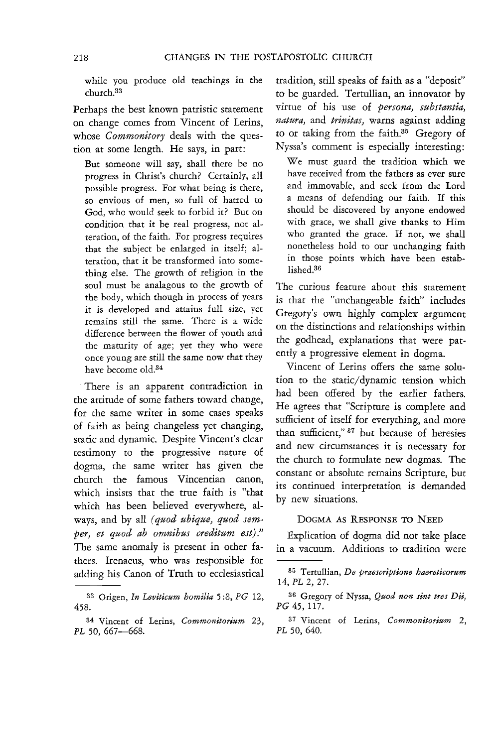while you produce old teachings in the church.33

Perhaps the best known patristic statement on change comes from Vincent of lerins, whose *Commonitory* deals with the question at some length. He says, in part:

But someone will say, shall there be no progress in Christ's church? Certainly, all possible progress. For what being is there, so envious of men, so full of hatred to God, who would seek to forbid it? But on condition that it be real progress, not alteration, of the faith. For progress requires that the subject be enlarged in itself; alteration, that it be transformed into something else. The growth of religion in the soul must be analagous to the growth of the body, which though in process of years it is developed and attains full size, yet remains still the same. There is a wide difference between the flower of youth and the maturity of age; yet they who were once young are still the same now that they have become old.34

'. There is an apparent contradiction in the attitude of some fathers toward change, for the same writer in some cases speaks of faith as being changeless yet changing, static and dynamic. Despite Vincent's clear testimony to the progressive nature of dogma, the same writer has given the church the famous Vincentian canon, which insists that the true faith is "that which has been believed everywhere, always, and by all *(quod ubique, quod sem*per, et quod ab omnibus creditum est)." The same anomaly is present in other fathers. Irenaeus, who was responsible for adding his Canon of Truth to ecclesiastical tradition, still speaks of faith as a "deposit" to be guarded. Tertullian, an innovator by virtue of his use of *persona, substantia, natura,* and *trinitas,* warns against adding to or taking from the faith.35 Gregory of Nyssa's comment is especially interesting:

We must guard the tradition which we have received from the fathers as ever sure and immovable, and seek from the Lord a means of defending our faith. If this should be discovered by anyone endowed with grace, we shall give thanks to Him who granted the grace. If not, we shall nonetheless hold to our unchanging faith in those points which have been established<sup>36</sup>

The curious feature about this statement is that the "unchangeable faith" includes Gregory's own highly complex argument on the distinctions and relationships within the godhead, explanations that were patently a progressive element in dogma.

Vincent of Lerins offers the same solution to the static/dynamic tension which had been offered by the earlier fathers. He agrees that "Scripture is complete and sufficient of itself for everything, and more than sufficient," 37 but because of heresies and new circumstances it is necessary for the church to formulate new dogmas. The constant or absolute remains Scripture, but its continued interpretation is demanded by new situations.

# DOGMA AS RESPONSE TO NEED

Explication of dogma did not take place in a vacuum. Additions to tradition were

<sup>33</sup> Origen, *In Leviticum homilia* 5 :8, *PG 12,*  458.

<sup>34</sup> Vincent of Lerins, *Commonitorium 23,*  PL 50, 667-668.

<sup>35</sup> Tertullian, *De praescriptione haereticorum 14, PL* 2, 27.

<sup>36</sup> Gregory of Nyssa, *Quod non sint tres Dii, PG* 45,117.

<sup>37</sup> Vincent of Lerins, *Commonitorium 2, PL* 50, 640.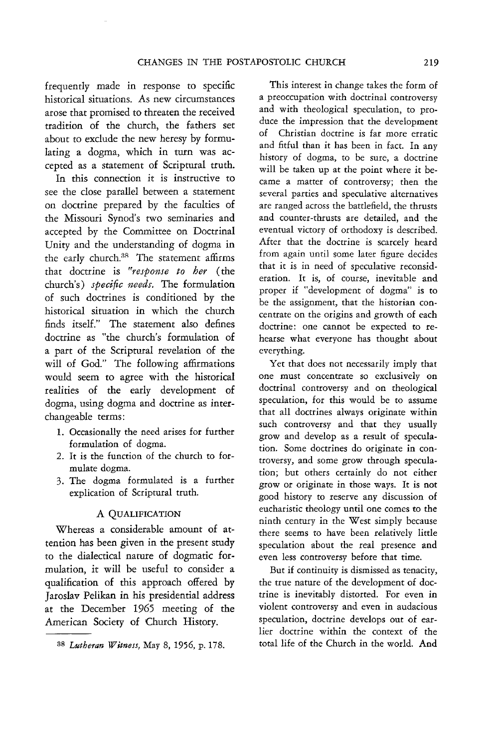frequently made in response to specific historical situations. As new circumstances arose that promised to threaten the received tradition of the church, the fathers set about to exclude the new heresy by formulating a dogma, which in turn was accepted as a statement of Scriptural truth.

In this connection it is instructive to see the close parallel between a statement on doctrine prepared by the faculties of the Missouri Synod's two seminaries and accepted by the Committee on Doctrinal Unity and the understanding of dogma in the early church.<sup>38</sup> The statement affirms that doctrine is *"respome to her* ( the church's) *specific needs.* The formulation of such doctrines is conditioned by the historical situation in which the church finds itself." The statement also defines doctrine as "the church's formulation of a part of the Scriptural revelation of the will of God." The following affirmations would seem to agree with the historical realities of the early development of dogma, using dogma and doctrine as interchangeable terms:

- 1. Occasionally the need arises for further formulation of dogma.
- 2. It is the function of the church to formulate dogma.
- 3. The dogma formulated is a further explication of Scriptural truth.

#### A QUALIFICATION

Whereas a considerable amount of attention has been given in the present study to the dialectical nature of dogmatic formulation, it will be useful to consider a qualification of this approach offered by Jaroslav Pelikan in his presidential address at the December 1965 meeting of the American Society of Church History.

This interest in change takes the form of a preoccupation with doctrinal controversy and with theological speculation, to produce the impression that the development of Christian doctrine is far more erratic and fitful than it has been in fact. In any history of dogma, to be sure, a doctrine will be taken up at the point where it became a matter of controversy; then the several parties and speculative alternatives are ranged across the battlefield, the thrusts and counter-thrusts are detailed, and the eventual victory of orthodoxy is described. After that the doctrine is scarcely heard from again until some later figure decides that it is in need of speculative reconsideration. It is, of course, inevitable and proper if "development of dogma" is to be the assignment, that the historian concentrate on the origins and growth of each doctrine: one cannot be expected to rehearse what everyone has thought about everything.

Yet that does not necessarily imply that one must concentrate so exclusively on doctrinal controversy and on theological speculation, for this would be to assume that all doctrines always originate within such controversy and that they usually grow and develop as a result of speculation. Some doctrines do originate in controversy, and some grow through speculation; but others certainly do not either grow or originate in those ways. It is not good history to reserve any discussion of eucharistic theology until one comes to the ninth century in the West simply because there seems to have been relatively little speculation about the real presence and even less controversy before that time.

But if continuity is dismissed as tenacity, the true nature of the development of doctrine is inevitably distorted. For even in violent controversy and even in audacious speculation, doctrine develops out of earlier doctrine within the context of the total life of the Church in the world. And

<sup>38</sup> *Lutheran Witness,* May 8, 1956, p. 178.